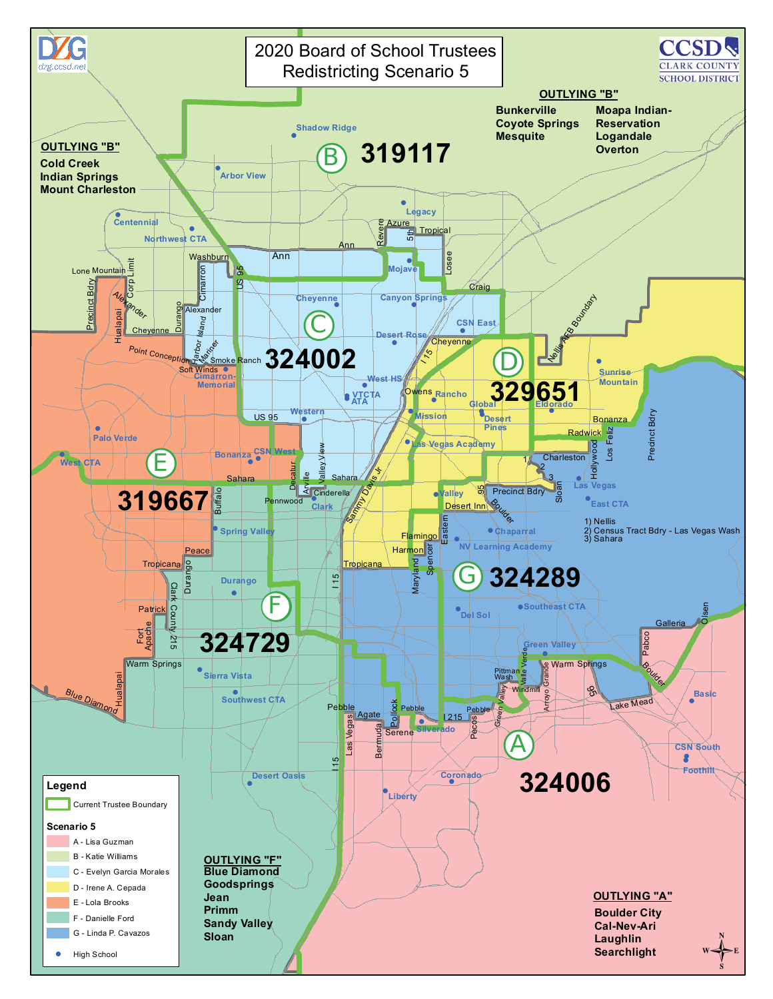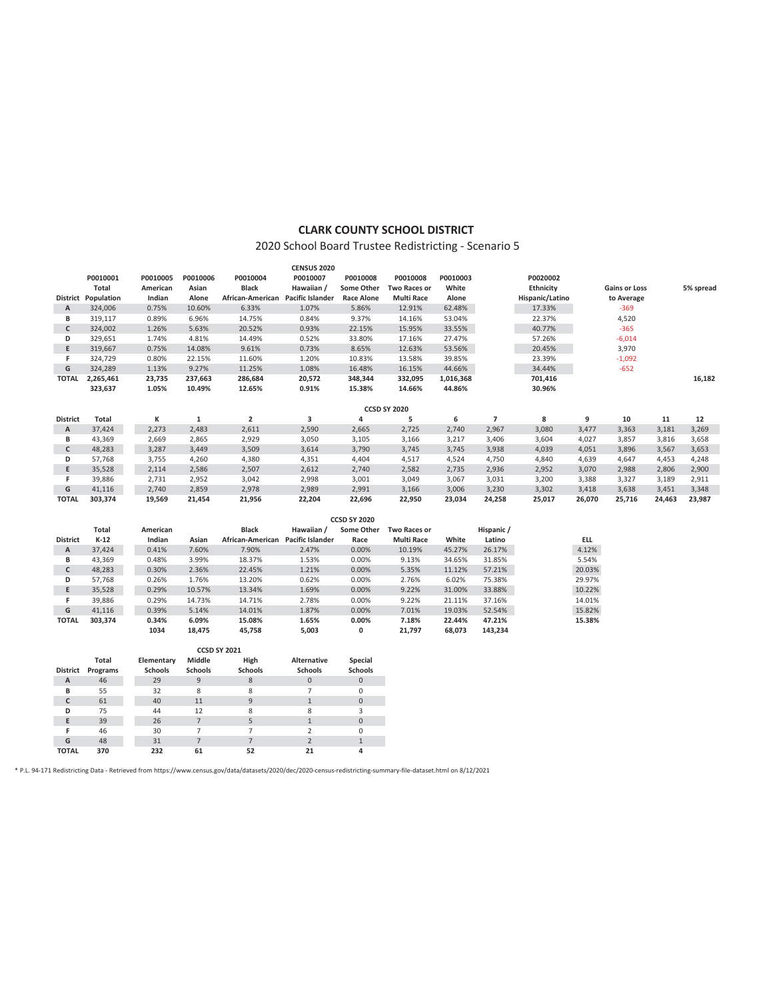## **CLARK COUNTY SCHOOL DISTRICT**

# 2020 School Board Trustee Redistricting - Scenario 5

|                           |                            |                |                |                                   | <b>CENSUS 2020</b> |                     |                     |           |                |                 |        |                      |        |           |
|---------------------------|----------------------------|----------------|----------------|-----------------------------------|--------------------|---------------------|---------------------|-----------|----------------|-----------------|--------|----------------------|--------|-----------|
|                           | P0010001                   | P0010005       | P0010006       | P0010004                          | P0010007           | P0010008            | P0010008            | P0010003  |                | P0020002        |        |                      |        |           |
|                           | Total                      | American       | Asian          | <b>Black</b>                      | Hawaiian /         | Some Other          | Two Races or        | White     |                | Ethnicity       |        | <b>Gains or Loss</b> |        | 5% spread |
|                           | <b>District Population</b> | Indian         | Alone          | African-American Pacific Islander |                    | <b>Race Alone</b>   | <b>Multi Race</b>   | Alone     |                | Hispanic/Latino |        | to Average           |        |           |
| Α                         | 324,006                    | 0.75%          | 10.60%         | 6.33%                             | 1.07%              | 5.86%               | 12.91%              | 62.48%    |                | 17.33%          |        | $-369$               |        |           |
| В                         | 319,117                    | 0.89%          | 6.96%          | 14.75%                            | 0.84%              | 9.37%               | 14.16%              | 53.04%    |                | 22.37%          |        | 4,520                |        |           |
| $\mathsf{C}$              | 324,002                    | 1.26%          | 5.63%          | 20.52%                            | 0.93%              | 22.15%              | 15.95%              | 33.55%    |                | 40.77%          |        | $-365$               |        |           |
| D                         | 329,651                    | 1.74%          | 4.81%          | 14.49%                            | 0.52%              | 33.80%              | 17.16%              | 27.47%    |                | 57.26%          |        | $-6,014$             |        |           |
| E                         | 319,667                    | 0.75%          | 14.08%         | 9.61%                             | 0.73%              | 8.65%               | 12.63%              | 53.56%    |                | 20.45%          |        | 3,970                |        |           |
| F.                        | 324,729                    | 0.80%          | 22.15%         | 11.60%                            | 1.20%              | 10.83%              | 13.58%              | 39.85%    |                | 23.39%          |        | $-1,092$             |        |           |
| G                         | 324,289                    | 1.13%          | 9.27%          | 11.25%                            | 1.08%              | 16.48%              | 16.15%              | 44.66%    |                | 34.44%          |        | $-652$               |        |           |
| <b>TOTAL</b>              | 2,265,461                  | 23,735         | 237,663        | 286,684                           | 20,572             | 348,344             | 332,095             | 1,016,368 |                | 701,416         |        |                      |        | 16,182    |
|                           | 323,637                    | 1.05%          | 10.49%         | 12.65%                            | 0.91%              | 15.38%              | 14.66%              | 44.86%    |                | 30.96%          |        |                      |        |           |
|                           |                            |                |                |                                   |                    |                     |                     |           |                |                 |        |                      |        |           |
|                           |                            |                |                |                                   |                    |                     | <b>CCSD SY 2020</b> |           |                |                 |        |                      |        |           |
| <b>District</b>           | <b>Total</b>               | К              | $\mathbf 1$    | $\mathbf 2$                       | 3                  | 4                   | 5                   | 6         | $\overline{7}$ | 8               | 9      | 10                   | 11     | 12        |
| $\boldsymbol{\mathsf{A}}$ | 37,424                     | 2,273          | 2,483          | 2,611                             | 2,590              | 2,665               | 2,725               | 2,740     | 2,967          | 3,080           | 3,477  | 3,363                | 3,181  | 3,269     |
| В                         | 43,369                     | 2,669          | 2,865          | 2,929                             | 3,050              | 3,105               | 3,166               | 3,217     | 3,406          | 3,604           | 4,027  | 3,857                | 3,816  | 3,658     |
| c                         | 48,283                     | 3,287          | 3,449          | 3,509                             | 3,614              | 3,790               | 3,745               | 3,745     | 3,938          | 4,039           | 4,051  | 3,896                | 3,567  | 3,653     |
| D                         | 57,768                     | 3,755          | 4,260          | 4,380                             | 4,351              | 4,404               | 4,517               | 4.524     | 4,750          | 4,840           | 4,639  | 4,647                | 4,453  | 4,248     |
| E                         | 35,528                     | 2,114          | 2,586          | 2,507                             | 2,612              | 2,740               | 2,582               | 2,735     | 2,936          | 2,952           | 3,070  | 2,988                | 2,806  | 2,900     |
| F.                        | 39,886                     | 2,731          | 2,952          | 3,042                             | 2,998              | 3,001               | 3,049               | 3,067     | 3,031          | 3,200           | 3,388  | 3,327                | 3,189  | 2,911     |
| G                         | 41,116                     | 2,740          | 2,859          | 2,978                             | 2,989              | 2,991               | 3,166               | 3,006     | 3,230          | 3,302           | 3,418  | 3,638                | 3,451  | 3,348     |
| <b>TOTAL</b>              | 303,374                    | 19,569         | 21,454         | 21,956                            | 22,204             | 22,696              | 22,950              | 23,034    | 24,258         | 25,017          | 26,070 | 25,716               | 24,463 | 23,987    |
|                           |                            |                |                |                                   |                    | <b>CCSD SY 2020</b> |                     |           |                |                 |        |                      |        |           |
|                           | <b>Total</b>               | American       |                | <b>Black</b>                      | Hawaiian /         | Some Other          | Two Races or        |           | Hispanic /     |                 |        |                      |        |           |
| <b>District</b>           | $K-12$                     | Indian         | Asian          | African-American Pacific Islander |                    | Race                | <b>Multi Race</b>   | White     | Latino         |                 | ELL.   |                      |        |           |
| A                         | 37,424                     | 0.41%          | 7.60%          | 7.90%                             | 2.47%              | 0.00%               | 10.19%              | 45.27%    | 26.17%         |                 | 4.12%  |                      |        |           |
| В                         | 43,369                     | 0.48%          | 3.99%          | 18.37%                            | 1.53%              | 0.00%               | 9.13%               | 34.65%    | 31.85%         |                 | 5.54%  |                      |        |           |
| $\mathsf{C}$              | 48,283                     | 0.30%          | 2.36%          | 22.45%                            | 1.21%              | 0.00%               | 5.35%               | 11.12%    | 57.21%         |                 | 20.03% |                      |        |           |
| D                         | 57,768                     | 0.26%          | 1.76%          | 13.20%                            | 0.62%              | 0.00%               | 2.76%               | 6.02%     | 75.38%         |                 | 29.97% |                      |        |           |
| E                         | 35,528                     | 0.29%          | 10.57%         | 13.34%                            | 1.69%              | 0.00%               | 9.22%               | 31.00%    | 33.88%         |                 | 10.22% |                      |        |           |
| F.                        | 39,886                     | 0.29%          | 14.73%         | 14.71%                            | 2.78%              | 0.00%               | 9.22%               | 21.11%    | 37.16%         |                 | 14.01% |                      |        |           |
| G                         | 41,116                     | 0.39%          | 5.14%          | 14.01%                            | 1.87%              | 0.00%               | 7.01%               | 19.03%    | 52.54%         |                 | 15.82% |                      |        |           |
| <b>TOTAL</b>              | 303,374                    | 0.34%          | 6.09%          | 15.08%                            | 1.65%              | 0.00%               | 7.18%               | 22.44%    | 47.21%         |                 | 15.38% |                      |        |           |
|                           |                            | 1034           | 18,475         | 45,758                            | 5,003              | 0                   | 21,797              | 68,073    | 143,234        |                 |        |                      |        |           |
|                           |                            |                |                |                                   |                    |                     |                     |           |                |                 |        |                      |        |           |
|                           |                            |                |                | <b>CCSD SY 2021</b>               |                    |                     |                     |           |                |                 |        |                      |        |           |
|                           | Total                      | Elementary     | Middle         | High                              | Alternative        | Special             |                     |           |                |                 |        |                      |        |           |
| <b>District</b>           | Programs                   | <b>Schools</b> | <b>Schools</b> | <b>Schools</b>                    | <b>Schools</b>     | <b>Schools</b>      |                     |           |                |                 |        |                      |        |           |
| A                         | 46                         | 29             | 9              | 8                                 | 0                  | $\mathsf{O}$        |                     |           |                |                 |        |                      |        |           |
| В                         | 55                         | 32             | 8              | 8                                 | $\overline{7}$     | $\mathsf 0$         |                     |           |                |                 |        |                      |        |           |
| $\mathsf{C}$              | 61                         | 40             | 11             | $9\,$                             | $\mathbf{1}$       | $\mathsf{O}$        |                     |           |                |                 |        |                      |        |           |
| D                         | 75                         | 44             | 12             | 8                                 | 8                  | 3                   |                     |           |                |                 |        |                      |        |           |

\* P.L. 94-171 Redistricting Data - Retrieved from https://www.census.gov/data/datasets/2020/dec/2020-census-redistricting-summary-file-dataset.html on 8/12/2021

**E** 39 26 7 5 1 0 **F** 46 30 7 7 2 0 **E** 39 26 7 5 1 0<br> **F** 46 30 7 7 2 0<br> **G** 48 31 7 7 2 1<br> **TOTAL 370 232 61 52 21** 4 **TOTAL 370 232 61 52 21 4**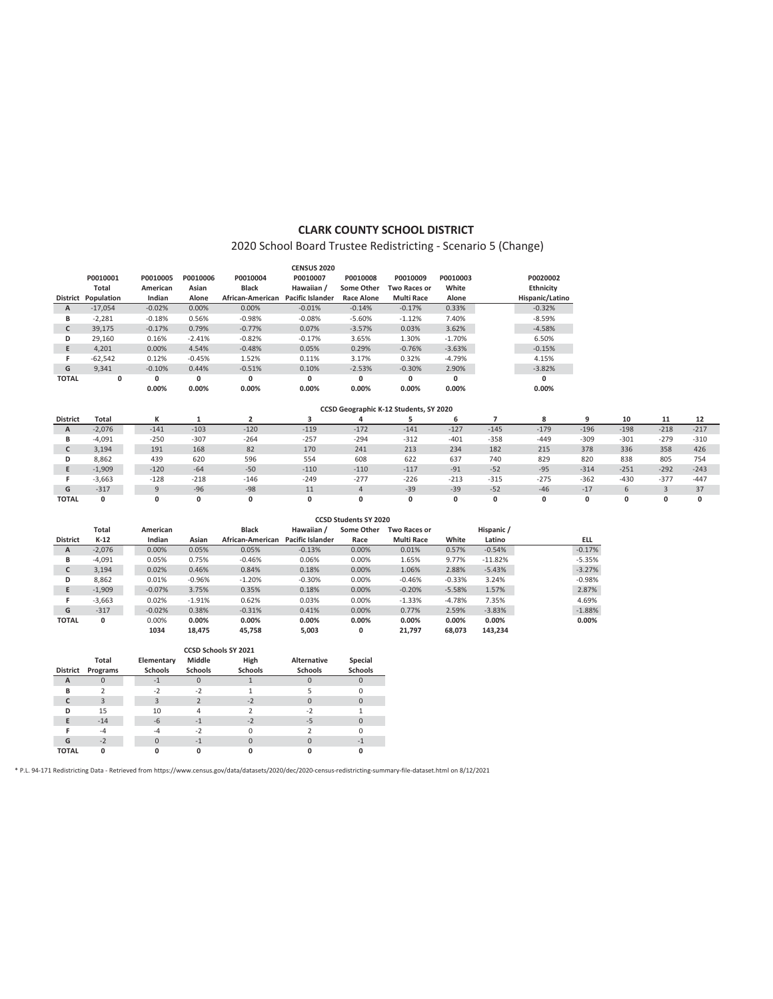#### **CLARK COUNTY SCHOOL DISTRICT**

## 2020 School Board Trustee Redistricting - Scenario 5 (Change)

|                 |            |          |          |                  | <b>CENSUS 2020</b>      |            |                   |          |                  |
|-----------------|------------|----------|----------|------------------|-------------------------|------------|-------------------|----------|------------------|
|                 | P0010001   | P0010005 | P0010006 | P0010004         | P0010007                | P0010008   | P0010009          | P0010003 | P0020002         |
|                 | Total      | American | Asian    | <b>Black</b>     | Hawaiian /              | Some Other | Two Races or      | White    | <b>Ethnicity</b> |
| <b>District</b> | Population | Indian   | Alone    | African-American | <b>Pacific Islander</b> | Race Alone | <b>Multi Race</b> | Alone    | Hispanic/Latino  |
| A               | $-17.054$  | $-0.02%$ | 0.00%    | 0.00%            | $-0.01%$                | $-0.14%$   | $-0.17%$          | 0.33%    | $-0.32%$         |
| В               | $-2.281$   | $-0.18%$ | 0.56%    | $-0.98%$         | $-0.08%$                | $-5.60%$   | $-1.12%$          | 7.40%    | $-8.59%$         |
| c               | 39,175     | $-0.17%$ | 0.79%    | $-0.77%$         | 0.07%                   | $-3.57%$   | 0.03%             | 3.62%    | $-4.58%$         |
| D               | 29.160     | 0.16%    | $-2.41%$ | $-0.82%$         | $-0.17%$                | 3.65%      | 1.30%             | $-1.70%$ | 6.50%            |
| E               | 4.201      | 0.00%    | 4.54%    | $-0.48%$         | 0.05%                   | 0.29%      | $-0.76%$          | $-3.63%$ | $-0.15%$         |
| F               | $-62.542$  | 0.12%    | $-0.45%$ | 1.52%            | 0.11%                   | 3.17%      | 0.32%             | $-4.79%$ | 4.15%            |
| G               | 9.341      | $-0.10%$ | 0.44%    | $-0.51%$         | 0.10%                   | $-2.53%$   | $-0.30%$          | 2.90%    | $-3.82%$         |
| <b>TOTAL</b>    | 0          | 0        | 0        | 0                | 0                       | 0          | 0                 | 0        | 0                |
|                 |            | 0.00%    | 0.00%    | 0.00%            | 0.00%                   | 0.00%      | 0.00%             | 0.00%    | 0.00%            |

|                 |              |        |        |        |        | CCSD Geographic K-12 Students, SY 2020 |        |        |        |        |        |        |        |        |
|-----------------|--------------|--------|--------|--------|--------|----------------------------------------|--------|--------|--------|--------|--------|--------|--------|--------|
| <b>District</b> | <b>Total</b> |        |        |        |        |                                        |        |        |        | 8      |        | 10     | -44    | 12     |
| A               | $-2.076$     | $-141$ | $-103$ | $-120$ | $-119$ | $-172$                                 | $-141$ | $-127$ | $-145$ | $-179$ | $-196$ | $-198$ | $-218$ | $-217$ |
| B               | $-4,091$     | $-250$ | $-307$ | $-264$ | $-257$ | $-294$                                 | $-312$ | $-401$ | $-358$ | $-449$ | $-309$ | $-301$ | $-279$ | $-310$ |
|                 | 3,194        | 191    | 168    | 82     | 170    | 241                                    | 213    | 234    | 182    | 215    | 378    | 336    | 358    | 426    |
| D               | 8,862        | 439    | 620    | 596    | 554    | 608                                    | 622    | 637    | 740    | 829    | 820    | 838    | 805    | 754    |
|                 | $-1,909$     | $-120$ | $-64$  | $-50$  | $-110$ | $-110$                                 | $-117$ | $-91$  | $-52$  | $-95$  | $-314$ | $-251$ | $-292$ | $-243$ |
|                 | $-3.663$     | $-128$ | $-218$ | $-146$ | $-249$ | $-277$                                 | $-226$ | $-213$ | $-315$ | $-275$ | $-362$ | $-430$ | $-377$ | $-447$ |
| G               | $-317$       |        | $-96$  | $-98$  | 11     | 4                                      | $-39$  | $-39$  | $-52$  | $-46$  | $-17$  | 6      |        | 37     |
| <b>TOTAL</b>    | 0            |        | 0      |        | 0      | 0                                      |        | 0      | 0      | 0      |        | ۵      |        | 0      |

|                 |          |          |          |                  |                         | <b>CCSD Students SY 2020</b> |                     |          |            |            |
|-----------------|----------|----------|----------|------------------|-------------------------|------------------------------|---------------------|----------|------------|------------|
|                 | Total    | American |          | <b>Black</b>     | Hawaiian /              | Some Other                   | <b>Two Races or</b> |          | Hispanic / |            |
| <b>District</b> | $K-12$   | Indian   | Asian    | African-American | <b>Pacific Islander</b> | Race                         | <b>Multi Race</b>   | White    | Latino     | <b>ELL</b> |
| A               | $-2,076$ | 0.00%    | 0.05%    | 0.05%            | $-0.13%$                | 0.00%                        | 0.01%               | 0.57%    | $-0.54%$   | $-0.17%$   |
| В               | $-4,091$ | 0.05%    | 0.75%    | $-0.46%$         | 0.06%                   | 0.00%                        | 1.65%               | 9.77%    | $-11.82%$  | $-5.35%$   |
| c               | 3.194    | 0.02%    | 0.46%    | 0.84%            | 0.18%                   | 0.00%                        | 1.06%               | 2.88%    | $-5.43%$   | $-3.27%$   |
| D               | 8,862    | 0.01%    | $-0.96%$ | $-1.20%$         | $-0.30%$                | 0.00%                        | $-0.46%$            | $-0.33%$ | 3.24%      | $-0.98%$   |
| E               | $-1,909$ | $-0.07%$ | 3.75%    | 0.35%            | 0.18%                   | 0.00%                        | $-0.20%$            | $-5.58%$ | 1.57%      | 2.87%      |
| F               | $-3.663$ | 0.02%    | $-1.91%$ | 0.62%            | 0.03%                   | 0.00%                        | $-1.33%$            | $-4.78%$ | 7.35%      | 4.69%      |
| G               | $-317$   | $-0.02%$ | 0.38%    | $-0.31%$         | 0.41%                   | 0.00%                        | 0.77%               | 2.59%    | $-3.83%$   | $-1.88%$   |
| <b>TOTAL</b>    | 0        | 0.00%    | 0.00%    | 0.00%            | 0.00%                   | 0.00%                        | 0.00%               | 0.00%    | 0.00%      | $0.00\%$   |
|                 |          | 1034     | 18.475   | 45,758           | 5,003                   | 0                            | 21.797              | 68.073   | 143.234    |            |

|              |          |                | CCSD Schools SY 2021 |                |                    |                |
|--------------|----------|----------------|----------------------|----------------|--------------------|----------------|
|              | Total    | Elementary     | Middle               | High           | <b>Alternative</b> | Special        |
| District     | Programs | <b>Schools</b> | <b>Schools</b>       | <b>Schools</b> | <b>Schools</b>     | <b>Schools</b> |
| A            | O        | $-1$           | $\Omega$             |                |                    |                |
| B            |          | $-2$           | $-2$                 |                |                    |                |
|              | 3        |                |                      | $-2$           |                    |                |
| D            | 15       | 10             | 4                    |                | $-2$               |                |
| F            | $-14$    | $-6$           | $-1$                 | $-2$           | $-5$               |                |
|              | -4       | -4             | $-2$                 | Ω              |                    |                |
| G            | $-2$     |                | $-1$                 |                |                    | $-1$           |
| <b>TOTAL</b> | ŋ        |                |                      |                |                    |                |

\* P.L. 94-171 Redistricting Data - Retrieved from https://www.census.gov/data/datasets/2020/dec/2020-census-redistricting-summary-file-dataset.html on 8/12/2021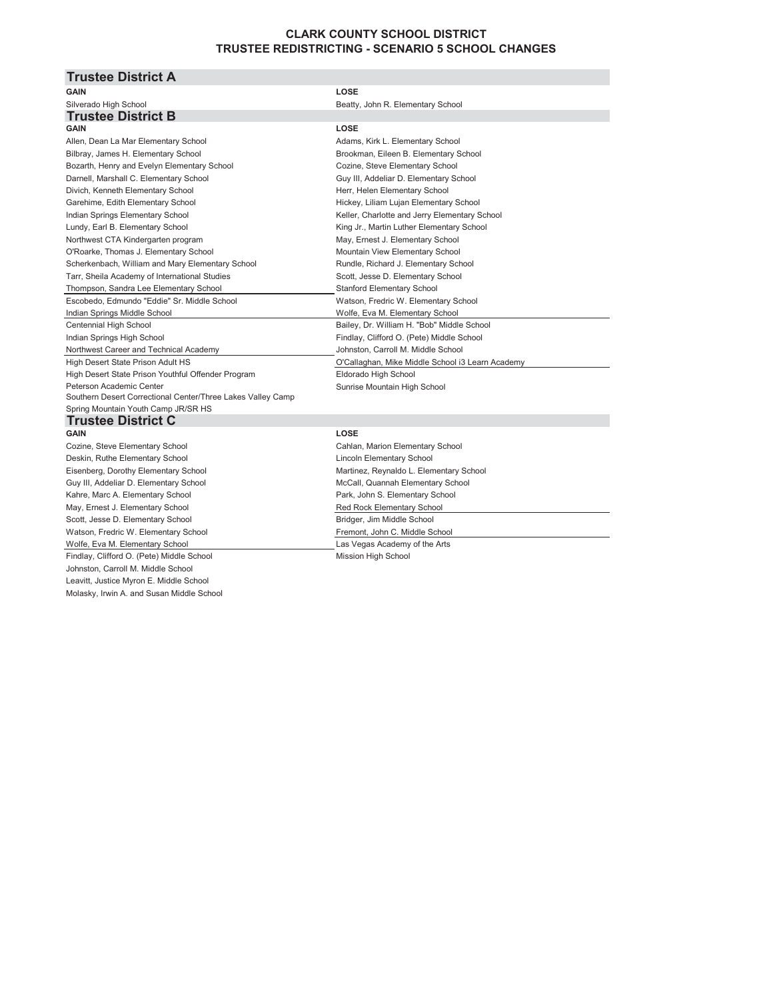## **CLARK COUNTY SCHOOL DISTRICT TRUSTEE REDISTRICTING - SCENARIO 5 SCHOOL CHANGES**

#### **Trustee District A GAIN LOSE** Silverado High School **Beatty, John R. Elementary School** Beatty, John R. Elementary School **Trustee District B GAIN LOSE** Allen, Dean La Mar Elementary School **Adams, Kirk L. Elementary School** Adams, Kirk L. Elementary School Bilbray, James H. Elementary School **Brookman, Eileen B. Elementary School** Brookman, Eileen B. Elementary School Bozarth, Henry and Evelyn Elementary School Cozine, Steve Elementary School Darnell, Marshall C. Elementary School Guy III, Addeliar D. Elementary School Divich, Kenneth Elementary School Herr, Helen Elementary School Garehime, Edith Elementary School **Hickey, Liliam Lujan Elementary School** Hickey, Liliam Lujan Elementary School Indian Springs Elementary School **Keller, Charlotte and Jerry Elementary School** Keller, Charlotte and Jerry Elementary School Lundy, Earl B. Elementary School King Jr., Martin Luther Elementary School Northwest CTA Kindergarten program May, Ernest J. Elementary School O'Roarke, Thomas J. Elementary School **Mountain View Elementary School** Mountain View Elementary School Scherkenbach, William and Mary Elementary School **Rundle, Richard J. Elementary School** Rundle, Richard J. Elementary School Tarr, Sheila Academy of International Studies Scott, Jesse D. Elementary School Thompson, Sandra Lee Elementary School Stanford Elementary School Stanford Elementary School Escobedo, Edmundo "Eddie" Sr. Middle School Watson, Fredric W. Elementary School Watson, Fredric W. Elementary School Indian Springs Middle School **Mateurs 20 and The Control Control Wolfe**, Eva M. Elementary School Centennial High School **Bailey, Dr. William H. "Bob" Middle School** Indian Springs High School **Findlay, Clifford O. (Pete) Middle School** Findlay, Clifford O. (Pete) Middle School Northwest Career and Technical Academy **Johnston, Carroll M. Middle School** High Desert State Prison Adult HS O'Callaghan, Mike Middle School i3 Learn Academy High Desert State Prison Youthful Offender Program Fund Eldorado High School Peterson Academic Center Sunrise Mountain High School Sunrise Mountain High School Southern Desert Correctional Center/Three Lakes Valley Camp Spring Mountain Youth Camp JR/SR HS **Trustee District C GAIN LOSE** Cozine, Steve Elementary School Cahlan, Marion Elementary School Deskin, Ruthe Elementary School **Lincoln Elementary School** Lincoln Elementary School Eisenberg, Dorothy Elementary School **Martinez, Reynaldo L. Elementary School** Martinez, Reynaldo L. Elementary School Guy III, Addeliar D. Elementary School **McCall**, Quannah Elementary School **McCall** Kahre, Marc A. Elementary School **Park, John S. Elementary School** Park, John S. Elementary School

May, Ernest J. Elementary School **Red Rock Elementary School** Red Rock Elementary School Scott, Jesse D. Elementary School and Bridger, Jim Middle School Bridger, Jim Middle School Watson, Fredric W. Elementary School Fremont, John C. Middle School Fremont, John C. Middle School Wolfe, Eva M. Elementary School **Last Vegas Academy of the Arts** Findlay, Clifford O. (Pete) Middle School Mission High School Mission High School Johnston, Carroll M. Middle School Leavitt, Justice Myron E. Middle School Molasky, Irwin A. and Susan Middle School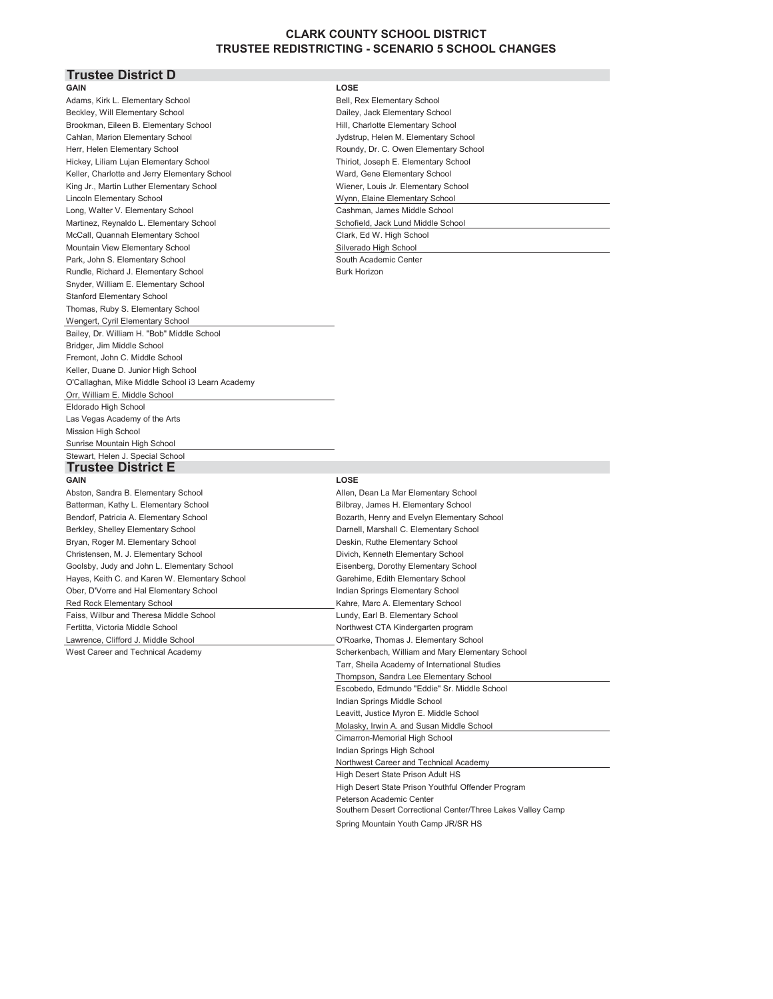## **CLARK COUNTY SCHOOL DISTRICT TRUSTEE REDISTRICTING - SCENARIO 5 SCHOOL CHANGES**

#### **Trustee District D GAIN LOSE**

Adams, Kirk L. Elementary School Bell, Rex Elementary School Bell, Rex Elementary School Bell, Rex Elementary School Beckley, Will Elementary School Dailey, Jack Elementary School Dailey, Jack Elementary School Brookman, Eileen B. Elementary School Hill, Charlotte Elementary School Hill, Charlotte Elementary School Hill, Charlotte Elementary School Hill, Charlotte Elementary School Hill, Charlotte Elementary School Hill, Charlott Cahlan, Marion Elementary School Jydstrum, Helen M. Elementary School Jydstrum, Helen M. Elementary School Herr, Helen Elementary School **Roundy, Dr. C. Owen Elementary School Roundy, Dr. C. Owen Elementary School** Hickey, Liliam Lujan Elementary School Third, Joseph E. Elementary School Keller, Charlotte and Jerry Elementary School Ward, General Andrew Elementary School King Jr., Martin Luther Elementary School Wiener, Louis V Lincoln Elementary School Wynn, Elementary School Wynn, Elementary School Wynn, Elementary School Wynn, Elementary School Wynn, Elementary School Wynn, Elementary School Wynn, Elementary School Wynn, Elementary School Wynn Long, Walter V. Elementary School Cashman and Cashman Cashman Cashman Cashman Cashman Cashman Cashman Cashman Martinez, Reynaldo L. Elementary School School School School School School School School School School School School School School School School School School School School School School School School School School School McCall, Quannah Elementary School Clark, Edgewood C Mountain View Elementary School School School School School School School School School School School School School School School School School School School School School School School School School School School School S Park, John S. Elementary School South Academic Center Center Center Center Center Center Center Center Center Rundle, Richard J. Elementary School **Burk Horizon** Burk Horizon Snyder, William E. Elementary School Stanford Elementary School Thomas, Ruby S. Elementary School Wengert, Cyril Elementary School Bailey, Dr. William H. "Bob" Middle School Bridger, Jim Middle School Fremont, John C. Middle School Keller, Duane D. Junior High School O'Callaghan, Mike Middle School i3 Learn Academy Orr, William E. Middle School Eldorado High School Las Vegas Academy of the Arts **Mission High School** Sunrise Mountain High School Stewart, Helen J. Special School

#### **Trustee District E GAIN LOSE**

Abston, Sandra B. Elementary School Allen, Dean La Mar Elementary School Batterman, Kathy L. Elementary School **Bilbray, James H. Elementary School** Bilbray, James H. Elementary School Bendorf, Patricia A. Elementary School **Bozarth, Henry and Evelyn Elementary School** Bozarth, Henry and Evelyn Elementary School Berkley, Shelley Elementary School **Darnell**, Marshall C. Elementary School Darnell, Marshall C. Elementary School Bryan, Roger M. Elementary School Deskin, Ruthe Elementary School Christensen, M. J. Elementary School Divich, Kenneth Elementary School Goolsby, Judy and John L. Elementary School Eisenberg, Dorothy Elementary School Hayes, Keith C. and Karen W. Elementary School Garehime, Edith Elementary School Ober, D'Vorre and Hal Elementary School **Indian Springs Elementary School** Indian Springs Elementary School Red Rock Elementary School **Kahre, Marc A. Elementary School** Kahre, Marc A. Elementary School Faiss, Wilbur and Theresa Middle School **Lundy**, Earl B. Elementary School Fertitta, Victoria Middle School Northwest CTA Kindergarten program Lawrence, Clifford J. Middle School O'Roarke, Thomas J. Elementary School

| USE.                                  |
|---------------------------------------|
| ell, Rex Elementary School            |
| ailey, Jack Elementary School         |
| iill, Charlotte Elementary School     |
| ydstrup, Helen M. Elementary School   |
| Roundy, Dr. C. Owen Elementary School |
| hiriot, Joseph E. Elementary School   |
| Vard, Gene Elementary School          |
| Viener, Louis Jr. Elementary School   |
| Vynn, Elaine Elementary School        |
| `ashman, James Middle School          |
| chofield, Jack Lund Middle School     |
| lark, Ed W. High School               |
| ilverado High School                  |
| outh Academic Center                  |
| حمصته ملط عامريا                      |

West Career and Technical Academy Scherkenbach, William and Mary Elementary School Tarr, Sheila Academy of International Studies Thompson, Sandra Lee Elementary School Escobedo, Edmundo "Eddie" Sr. Middle School Indian Springs Middle School Leavitt, Justice Myron E. Middle School Molasky, Irwin A. and Susan Middle School Cimarron-Memorial High School Indian Springs High School Northwest Career and Technical Academy High Desert State Prison Adult HS High Desert State Prison Youthful Offender Program Peterson Academic Center Southern Desert Correctional Center/Three Lakes Valley Camp Spring Mountain Youth Camp JR/SR HS